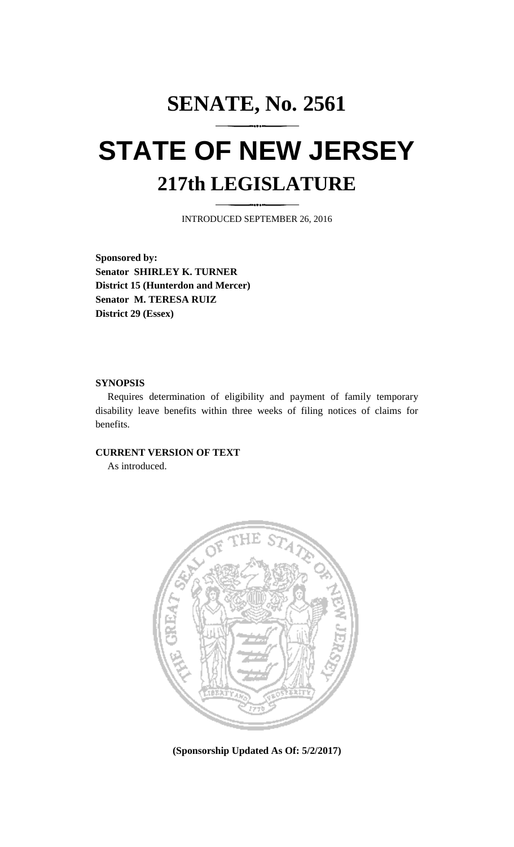# **SENATE, No. 2561 STATE OF NEW JERSEY 217th LEGISLATURE**

INTRODUCED SEPTEMBER 26, 2016

**Sponsored by: Senator SHIRLEY K. TURNER District 15 (Hunterdon and Mercer) Senator M. TERESA RUIZ District 29 (Essex)**

## **SYNOPSIS**

Requires determination of eligibility and payment of family temporary disability leave benefits within three weeks of filing notices of claims for benefits.

## **CURRENT VERSION OF TEXT**

As introduced.



**(Sponsorship Updated As Of: 5/2/2017)**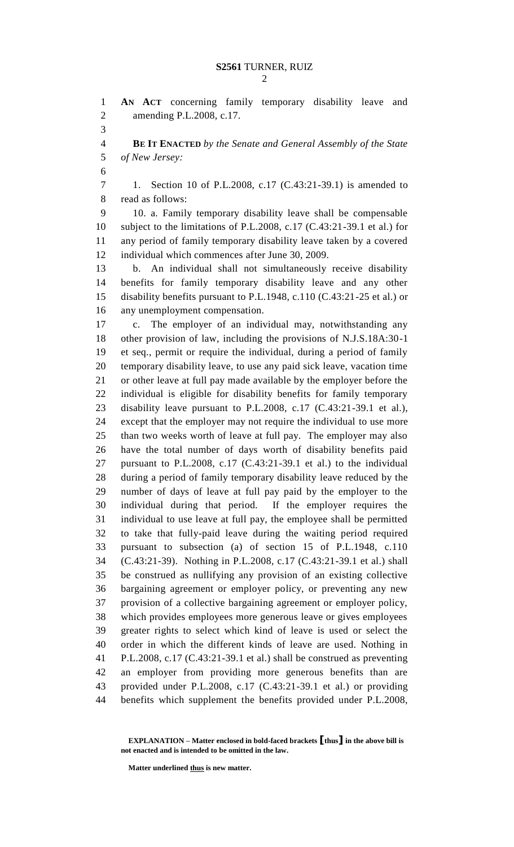```
2
```
 **AN ACT** concerning family temporary disability leave and amending P.L.2008, c.17.

 **BE IT ENACTED** *by the Senate and General Assembly of the State of New Jersey:*

 1. Section 10 of P.L.2008, c.17 (C.43:21-39.1) is amended to read as follows:

 10. a. Family temporary disability leave shall be compensable subject to the limitations of P.L.2008, c.17 (C.43:21-39.1 et al.) for any period of family temporary disability leave taken by a covered individual which commences after June 30, 2009.

 b. An individual shall not simultaneously receive disability benefits for family temporary disability leave and any other disability benefits pursuant to P.L.1948, c.110 (C.43:21-25 et al.) or any unemployment compensation.

 c. The employer of an individual may, notwithstanding any other provision of law, including the provisions of N.J.S.18A:30-1 et seq., permit or require the individual, during a period of family temporary disability leave, to use any paid sick leave, vacation time or other leave at full pay made available by the employer before the individual is eligible for disability benefits for family temporary disability leave pursuant to P.L.2008, c.17 (C.43:21-39.1 et al.), except that the employer may not require the individual to use more than two weeks worth of leave at full pay. The employer may also have the total number of days worth of disability benefits paid pursuant to P.L.2008, c.17 (C.43:21-39.1 et al.) to the individual during a period of family temporary disability leave reduced by the number of days of leave at full pay paid by the employer to the individual during that period. If the employer requires the individual to use leave at full pay, the employee shall be permitted to take that fully-paid leave during the waiting period required pursuant to subsection (a) of section 15 of P.L.1948, c.110 (C.43:21-39). Nothing in P.L.2008, c.17 (C.43:21-39.1 et al.) shall be construed as nullifying any provision of an existing collective bargaining agreement or employer policy, or preventing any new provision of a collective bargaining agreement or employer policy, which provides employees more generous leave or gives employees greater rights to select which kind of leave is used or select the order in which the different kinds of leave are used. Nothing in P.L.2008, c.17 (C.43:21-39.1 et al.) shall be construed as preventing an employer from providing more generous benefits than are provided under P.L.2008, c.17 (C.43:21-39.1 et al.) or providing benefits which supplement the benefits provided under P.L.2008,

**Matter underlined thus is new matter.**

**EXPLANATION – Matter enclosed in bold-faced brackets [thus] in the above bill is not enacted and is intended to be omitted in the law.**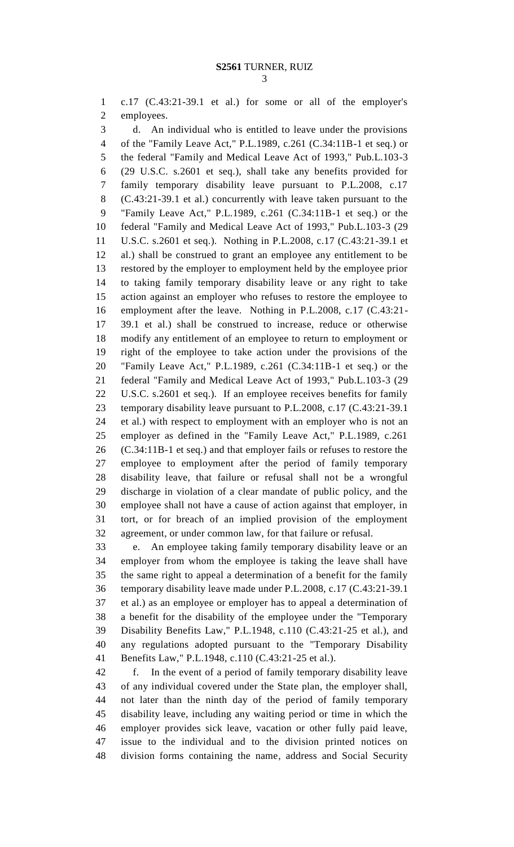c.17 (C.43:21-39.1 et al.) for some or all of the employer's employees.

 d. An individual who is entitled to leave under the provisions of the "Family Leave Act," P.L.1989, c.261 (C.34:11B-1 et seq.) or the federal "Family and Medical Leave Act of 1993," Pub.L.103-3 (29 U.S.C. s.2601 et seq.), shall take any benefits provided for family temporary disability leave pursuant to P.L.2008, c.17 (C.43:21-39.1 et al.) concurrently with leave taken pursuant to the "Family Leave Act," P.L.1989, c.261 (C.34:11B-1 et seq.) or the federal "Family and Medical Leave Act of 1993," Pub.L.103-3 (29 U.S.C. s.2601 et seq.). Nothing in P.L.2008, c.17 (C.43:21-39.1 et al.) shall be construed to grant an employee any entitlement to be restored by the employer to employment held by the employee prior to taking family temporary disability leave or any right to take action against an employer who refuses to restore the employee to employment after the leave. Nothing in P.L.2008, c.17 (C.43:21- 39.1 et al.) shall be construed to increase, reduce or otherwise modify any entitlement of an employee to return to employment or right of the employee to take action under the provisions of the "Family Leave Act," P.L.1989, c.261 (C.34:11B-1 et seq.) or the federal "Family and Medical Leave Act of 1993," Pub.L.103-3 (29 U.S.C. s.2601 et seq.). If an employee receives benefits for family temporary disability leave pursuant to P.L.2008, c.17 (C.43:21-39.1 et al.) with respect to employment with an employer who is not an employer as defined in the "Family Leave Act," P.L.1989, c.261 (C.34:11B-1 et seq.) and that employer fails or refuses to restore the employee to employment after the period of family temporary disability leave, that failure or refusal shall not be a wrongful discharge in violation of a clear mandate of public policy, and the employee shall not have a cause of action against that employer, in tort, or for breach of an implied provision of the employment agreement, or under common law, for that failure or refusal.

 e. An employee taking family temporary disability leave or an employer from whom the employee is taking the leave shall have the same right to appeal a determination of a benefit for the family temporary disability leave made under P.L.2008, c.17 (C.43:21-39.1 et al.) as an employee or employer has to appeal a determination of a benefit for the disability of the employee under the "Temporary Disability Benefits Law," P.L.1948, c.110 (C.43:21-25 et al.), and any regulations adopted pursuant to the "Temporary Disability Benefits Law," P.L.1948, c.110 (C.43:21-25 et al.).

 f. In the event of a period of family temporary disability leave of any individual covered under the State plan, the employer shall, not later than the ninth day of the period of family temporary disability leave, including any waiting period or time in which the employer provides sick leave, vacation or other fully paid leave, issue to the individual and to the division printed notices on division forms containing the name, address and Social Security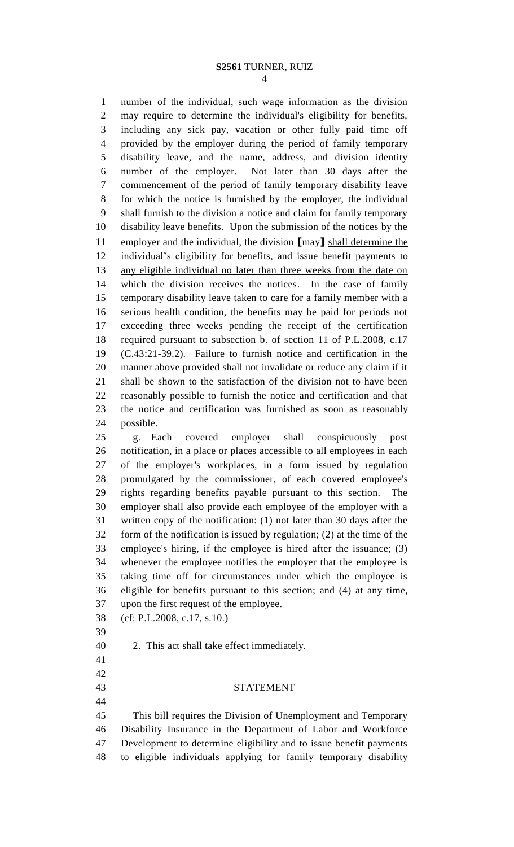number of the individual, such wage information as the division may require to determine the individual's eligibility for benefits, including any sick pay, vacation or other fully paid time off provided by the employer during the period of family temporary disability leave, and the name, address, and division identity number of the employer. Not later than 30 days after the commencement of the period of family temporary disability leave for which the notice is furnished by the employer, the individual shall furnish to the division a notice and claim for family temporary disability leave benefits. Upon the submission of the notices by the employer and the individual, the division **[**may**]** shall determine the 12 individual's eligibility for benefits, and issue benefit payments to any eligible individual no later than three weeks from the date on which the division receives the notices. In the case of family temporary disability leave taken to care for a family member with a serious health condition, the benefits may be paid for periods not exceeding three weeks pending the receipt of the certification required pursuant to subsection b. of section 11 of P.L.2008, c.17 (C.43:21-39.2). Failure to furnish notice and certification in the manner above provided shall not invalidate or reduce any claim if it shall be shown to the satisfaction of the division not to have been reasonably possible to furnish the notice and certification and that the notice and certification was furnished as soon as reasonably possible.

 g. Each covered employer shall conspicuously post notification, in a place or places accessible to all employees in each of the employer's workplaces, in a form issued by regulation promulgated by the commissioner, of each covered employee's rights regarding benefits payable pursuant to this section. The employer shall also provide each employee of the employer with a written copy of the notification: (1) not later than 30 days after the form of the notification is issued by regulation; (2) at the time of the employee's hiring, if the employee is hired after the issuance; (3) whenever the employee notifies the employer that the employee is taking time off for circumstances under which the employee is eligible for benefits pursuant to this section; and (4) at any time, upon the first request of the employee.

(cf: P.L.2008, c.17, s.10.)

 

2. This act shall take effect immediately.

### STATEMENT

 This bill requires the Division of Unemployment and Temporary Disability Insurance in the Department of Labor and Workforce Development to determine eligibility and to issue benefit payments to eligible individuals applying for family temporary disability